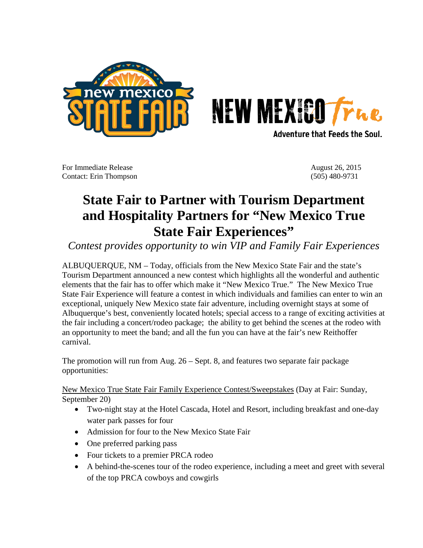



**Adventure that Feeds the Soul.** 

For Immediate Release August 26, 2015 Contact: Erin Thompson (505) 480-9731

## **State Fair to Partner with Tourism Department and Hospitality Partners for "New Mexico True State Fair Experiences"**

*Contest provides opportunity to win VIP and Family Fair Experiences*

ALBUQUERQUE, NM – Today, officials from the New Mexico State Fair and the state's Tourism Department announced a new contest which highlights all the wonderful and authentic elements that the fair has to offer which make it "New Mexico True." The New Mexico True State Fair Experience will feature a contest in which individuals and families can enter to win an exceptional, uniquely New Mexico state fair adventure, including overnight stays at some of Albuquerque's best, conveniently located hotels; special access to a range of exciting activities at the fair including a concert/rodeo package; the ability to get behind the scenes at the rodeo with an opportunity to meet the band; and all the fun you can have at the fair's new Reithoffer carnival.

The promotion will run from Aug. 26 – Sept. 8, and features two separate fair package opportunities:

New Mexico True State Fair Family Experience Contest/Sweepstakes (Day at Fair: Sunday, September 20)

- Two-night stay at the Hotel Cascada, Hotel and Resort, including breakfast and one-day water park passes for four
- Admission for four to the New Mexico State Fair
- One preferred parking pass
- Four tickets to a premier PRCA rodeo
- A behind-the-scenes tour of the rodeo experience, including a meet and greet with several of the top PRCA cowboys and cowgirls